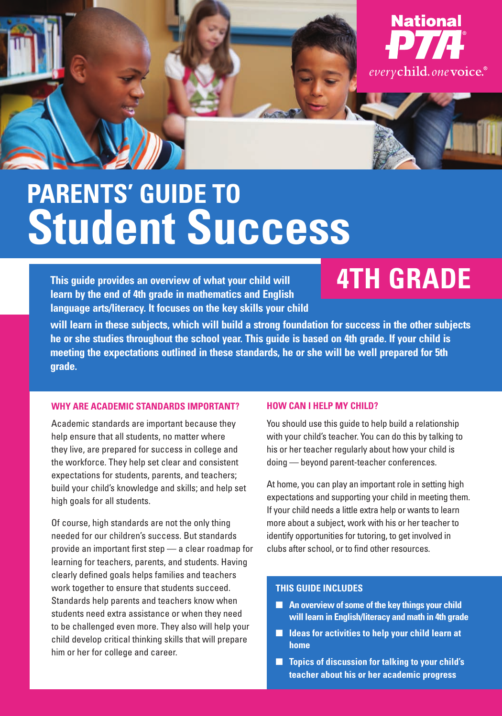

# **PARENTS' GUIDE TO Student Success**

**This guide provides an overview of what your child will learn by the end of 4th grade in mathematics and English language arts/literacy. It focuses on the key skills your child** 

## **4TH GRADE**

**will learn in these subjects, which will build a strong foundation for success in the other subjects he or she studies throughout the school year. This guide is based on 4th grade. If your child is meeting the expectations outlined in these standards, he or she will be well prepared for 5th grade.** 

#### **WHY ARE ACADEMIC STANDARDS IMPORTANT?**

Academic standards are important because they help ensure that all students, no matter where they live, are prepared for success in college and the workforce. They help set clear and consistent expectations for students, parents, and teachers; build your child's knowledge and skills; and help set high goals for all students.

Of course, high standards are not the only thing needed for our children's success. But standards provide an important first step — a clear roadmap for learning for teachers, parents, and students. Having clearly defined goals helps families and teachers work together to ensure that students succeed. Standards help parents and teachers know when students need extra assistance or when they need to be challenged even more. They also will help your child develop critical thinking skills that will prepare him or her for college and career.

#### **HOW CAN I HELP MY CHILD?**

You should use this guide to help build a relationship with your child's teacher. You can do this by talking to his or her teacher regularly about how your child is doing — beyond parent-teacher conferences.

At home, you can play an important role in setting high expectations and supporting your child in meeting them. If your child needs a little extra help or wants to learn more about a subject, work with his or her teacher to identify opportunities for tutoring, to get involved in clubs after school, or to find other resources.

#### **THIS GUIDE INCLUDES**

- An overview of some of the key things your child **will learn in English/literacy and math in 4th grade**
- **Ideas for activities to help your child learn at home**
- **Topics of discussion for talking to your child's teacher about his or her academic progress**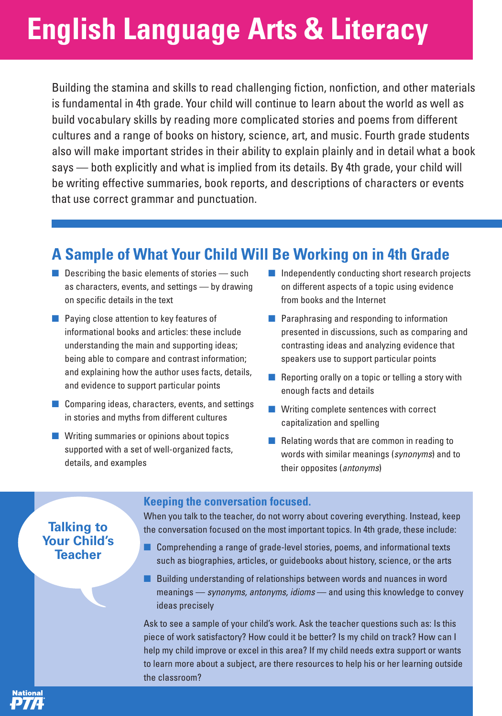# **English Language Arts & Literacy**

Building the stamina and skills to read challenging fiction, nonfiction, and other materials is fundamental in 4th grade. Your child will continue to learn about the world as well as build vocabulary skills by reading more complicated stories and poems from different cultures and a range of books on history, science, art, and music. Fourth grade students also will make important strides in their ability to explain plainly and in detail what a book says — both explicitly and what is implied from its details. By 4th grade, your child will be writing effective summaries, book reports, and descriptions of characters or events that use correct grammar and punctuation.

## **A Sample of What Your Child Will Be Working on in 4th Grade**

- $\blacksquare$  Describing the basic elements of stories  $\rightharpoonup$  such as characters, events, and settings — by drawing on specific details in the text
- Paying close attention to key features of informational books and articles: these include understanding the main and supporting ideas; being able to compare and contrast information; and explaining how the author uses facts, details, and evidence to support particular points
- Comparing ideas, characters, events, and settings in stories and myths from different cultures
- Writing summaries or opinions about topics supported with a set of well-organized facts, details, and examples
- Independently conducting short research projects on different aspects of a topic using evidence from books and the Internet
- Paraphrasing and responding to information presented in discussions, such as comparing and contrasting ideas and analyzing evidence that speakers use to support particular points
- Reporting orally on a topic or telling a story with enough facts and details
- Writing complete sentences with correct capitalization and spelling
- Relating words that are common in reading to words with similar meanings (synonyms) and to their opposites (antonyms)

### **Talking to Your Child's Teacher**

lational

#### **Keeping the conversation focused.**

When you talk to the teacher, do not worry about covering everything. Instead, keep the conversation focused on the most important topics. In 4th grade, these include:

- Comprehending a range of grade-level stories, poems, and informational texts such as biographies, articles, or guidebooks about history, science, or the arts
- Building understanding of relationships between words and nuances in word meanings — synonyms, antonyms, idioms — and using this knowledge to convey ideas precisely

Ask to see a sample of your child's work. Ask the teacher questions such as: Is this piece of work satisfactory? How could it be better? Is my child on track? How can I help my child improve or excel in this area? If my child needs extra support or wants to learn more about a subject, are there resources to help his or her learning outside the classroom?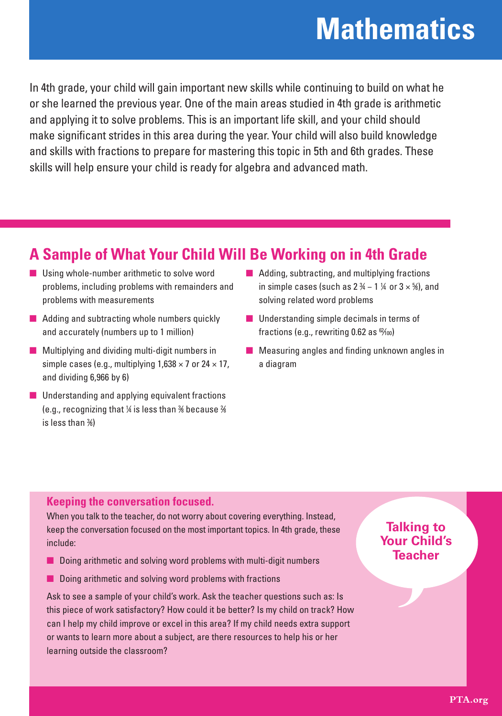# **Mathematics**

In 4th grade, your child will gain important new skills while continuing to build on what he or she learned the previous year. One of the main areas studied in 4th grade is arithmetic and applying it to solve problems. This is an important life skill, and your child should make significant strides in this area during the year. Your child will also build knowledge and skills with fractions to prepare for mastering this topic in 5th and 6th grades. These skills will help ensure your child is ready for algebra and advanced math.

## **A Sample of What Your Child Will Be Working on in 4th Grade**

- Using whole-number arithmetic to solve word problems, including problems with remainders and problems with measurements
- Adding and subtracting whole numbers quickly and accurately (numbers up to 1 million)
- Multiplying and dividing multi-digit numbers in simple cases (e.g., multiplying  $1,638 \times 7$  or  $24 \times 17$ , and dividing 6,966 by 6)
- Understanding and applying equivalent fractions (e.g., recognizing that  $\%$  is less than  $\%$  because  $\%$ is less than 3 ⁄8)
- Adding, subtracting, and multiplying fractions in simple cases (such as  $2\frac{3}{4}$  – 1  $\frac{1}{4}$  or  $3 \times \frac{5}{8}$ ), and solving related word problems
- Understanding simple decimals in terms of fractions (e.g., rewriting 0.62 as  $%$ <sub>00</sub>)
- Measuring angles and finding unknown angles in a diagram

### **Keeping the conversation focused.**

When you talk to the teacher, do not worry about covering everything. Instead, keep the conversation focused on the most important topics. In 4th grade, these include:

- Doing arithmetic and solving word problems with multi-digit numbers
- Doing arithmetic and solving word problems with fractions

Ask to see a sample of your child's work. Ask the teacher questions such as: Is this piece of work satisfactory? How could it be better? Is my child on track? How can I help my child improve or excel in this area? If my child needs extra support or wants to learn more about a subject, are there resources to help his or her learning outside the classroom?

### **Talking to Your Child's Teacher**